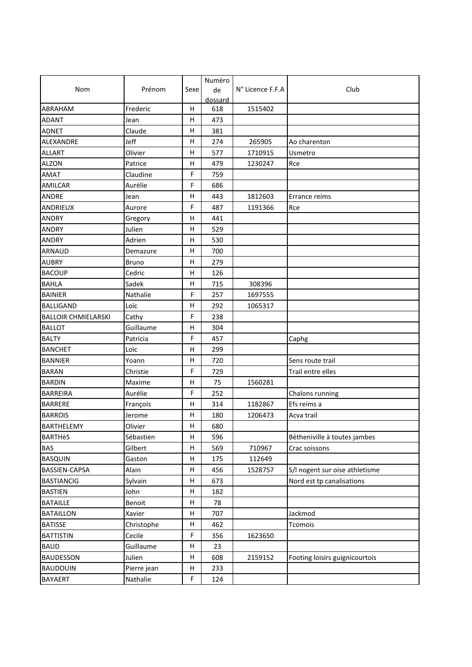|                            |              |      | Numéro  |                  |                                |
|----------------------------|--------------|------|---------|------------------|--------------------------------|
| Nom                        | Prénom       | Sexe | de      | N° Licence F.F.A | Club                           |
|                            |              |      | dossard |                  |                                |
| ABRAHAM                    | Frederic     | н    | 618     | 1515402          |                                |
| <b>ADANT</b>               | Jean         | н    | 473     |                  |                                |
| <b>ADNET</b>               | Claude       | н    | 381     |                  |                                |
| ALEXANDRE                  | Jeff         | н    | 274     | 265905           | Ao charenton                   |
| <b>ALLART</b>              | Olivier      | Н    | 577     | 1710915          | Usmetro                        |
| <b>ALZON</b>               | Patrice      | н    | 479     | 1230247          | Rce                            |
| AMAT                       | Claudine     | F    | 759     |                  |                                |
| AMILCAR                    | Aurélie      | F    | 686     |                  |                                |
| <b>ANDRE</b>               | Jean         | Η    | 443     | 1812603          | Errance reims                  |
| ANDRIEUX                   | Aurore       | F    | 487     | 1191366          | Rce                            |
| ANDRY                      | Gregory      | н    | 441     |                  |                                |
| <b>ANDRY</b>               | Julien       | н    | 529     |                  |                                |
| <b>ANDRY</b>               | Adrien       | н    | 530     |                  |                                |
| ARNAUD                     | Demazure     | н    | 700     |                  |                                |
| <b>AUBRY</b>               | <b>Bruno</b> | н    | 279     |                  |                                |
| <b>BACOUP</b>              | Cedric       | н    | 126     |                  |                                |
| <b>BAHLA</b>               | Sadek        | н    | 715     | 308396           |                                |
| <b>BAINIER</b>             | Nathalie     | F    | 257     | 1697555          |                                |
| <b>BALLIGAND</b>           | Loïc         | Η    | 292     | 1065317          |                                |
| <b>BALLOIR CHMIELARSKI</b> | Cathy        | F    | 238     |                  |                                |
| <b>BALLOT</b>              | Guillaume    | н    | 304     |                  |                                |
| <b>BALTY</b>               | Patricia     | F    | 457     |                  | Caphg                          |
| <b>BANCHET</b>             | Loïc         | н    | 299     |                  |                                |
| <b>BANNIER</b>             | Yoann        | Н    | 720     |                  | Sens route trail               |
| <b>BARAN</b>               | Christie     | F    | 729     |                  | Trail entre elles              |
| <b>BARDIN</b>              | Maxime       | н    | 75      | 1560281          |                                |
| <b>BARREIRA</b>            | Aurélie      | F    | 252     |                  | Chalons running                |
| <b>BARRERE</b>             | François     | н    | 314     | 1182867          | Efs reims a                    |
| <b>BARROIS</b>             | Jerome       | Η    | 180     | 1206473          | Acva trail                     |
| <b>BARTHELEMY</b>          | Olivier      | н    | 680     |                  |                                |
| <b>BARTHèS</b>             | Sébastien    | н    | 596     |                  | Bétheniville à toutes jambes   |
| <b>BAS</b>                 | Gilbert      | н    | 569     | 710967           | Crac soissons                  |
| <b>BASQUIN</b>             | Gaston       | н    | 175     | 112649           |                                |
| <b>BASSIEN-CAPSA</b>       | Alain        | н    | 456     | 1528757          | S/I nogent sur oise athletisme |
| <b>BASTIANCIG</b>          | Sylvain      | н    | 673     |                  | Nord est tp canalisations      |
| <b>BASTIEN</b>             | John         | н    | 182     |                  |                                |
| <b>BATAILLE</b>            | Benoit       | Н    | 78      |                  |                                |
| <b>BATAILLON</b>           | Xavier       | н    | 707     |                  | Jackmod                        |
| <b>BATISSE</b>             | Christophe   | Н    | 462     |                  | Tcomois                        |
| <b>BATTISTIN</b>           | Cecile       | F    | 356     | 1623650          |                                |
| <b>BAUD</b>                | Guillaume    | н    | 23      |                  |                                |
| <b>BAUDESSON</b>           | Julien       | Н    | 608     | 2159152          | Footing loisirs guignicourtois |
| <b>BAUDOUIN</b>            | Pierre jean  | н    | 233     |                  |                                |
| BAYAERT                    | Nathalie     | F    | 124     |                  |                                |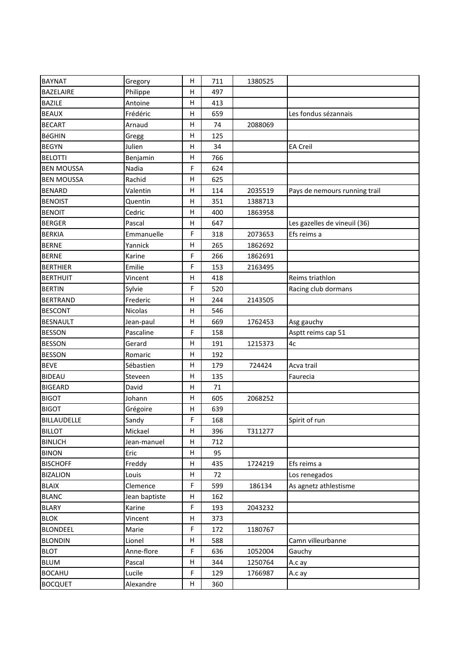| <b>BAYNAT</b>     | Gregory       | H            | 711 | 1380525 |                               |
|-------------------|---------------|--------------|-----|---------|-------------------------------|
| <b>BAZELAIRE</b>  | Philippe      | н            | 497 |         |                               |
| <b>BAZILE</b>     | Antoine       | н            | 413 |         |                               |
| <b>BEAUX</b>      | Frédéric      | н            | 659 |         | Les fondus sézannais          |
| <b>BECART</b>     | Arnaud        | H            | 74  | 2088069 |                               |
| <b>BéGHIN</b>     | Gregg         | H            | 125 |         |                               |
| <b>BEGYN</b>      | Julien        | н            | 34  |         | <b>EA Creil</b>               |
| <b>BELOTTI</b>    | Benjamin      | H            | 766 |         |                               |
| <b>BEN MOUSSA</b> | Nadia         | F            | 624 |         |                               |
| <b>BEN MOUSSA</b> | Rachid        | н            | 625 |         |                               |
| <b>BENARD</b>     | Valentin      | н            | 114 | 2035519 | Pays de nemours running trail |
| <b>BENOIST</b>    | Quentin       | н            | 351 | 1388713 |                               |
| <b>BENOIT</b>     | Cedric        | н            | 400 | 1863958 |                               |
| <b>BERGER</b>     | Pascal        | н            | 647 |         | Les gazelles de vineuil (36)  |
| <b>BERKIA</b>     | Emmanuelle    | F            | 318 | 2073653 | Efs reims a                   |
| <b>BERNE</b>      | Yannick       | Н            | 265 | 1862692 |                               |
| <b>BERNE</b>      | Karine        | F            | 266 | 1862691 |                               |
| <b>BERTHIER</b>   | Emilie        | F            | 153 | 2163495 |                               |
| <b>BERTHUIT</b>   | Vincent       | н            | 418 |         | Reims triathlon               |
| <b>BERTIN</b>     | Sylvie        | F            | 520 |         | Racing club dormans           |
| <b>BERTRAND</b>   | Frederic      | н            | 244 | 2143505 |                               |
| <b>BESCONT</b>    | Nicolas       | н            | 546 |         |                               |
| <b>BESNAULT</b>   | Jean-paul     | н            | 669 | 1762453 | Asg gauchy                    |
| <b>BESSON</b>     | Pascaline     | F            | 158 |         | Asptt reims cap 51            |
| <b>BESSON</b>     | Gerard        | н            | 191 | 1215373 | 4c                            |
| <b>BESSON</b>     | Romaric       | H            | 192 |         |                               |
| <b>BEVE</b>       | Sébastien     | н            | 179 | 724424  | Acva trail                    |
| <b>BIDEAU</b>     | Steveen       | H            | 135 |         | Faurecia                      |
| <b>BIGEARD</b>    | David         | H            | 71  |         |                               |
| <b>BIGOT</b>      | Johann        | н            | 605 | 2068252 |                               |
| <b>BIGOT</b>      | Grégoire      | н            | 639 |         |                               |
| BILLAUDELLE       | Sandy         | F            | 168 |         | Spirit of run                 |
| <b>BILLOT</b>     | Mickael       | $\mathsf{H}$ | 396 | T311277 |                               |
| <b>BINLICH</b>    | Jean-manuel   | H            | 712 |         |                               |
| <b>BINON</b>      | Eric          | н            | 95  |         |                               |
| <b>BISCHOFF</b>   | Freddy        | H            | 435 | 1724219 | Efs reims a                   |
| <b>BIZALION</b>   | Louis         | H            | 72  |         | Los renegados                 |
| <b>BLAIX</b>      | Clemence      | F            | 599 | 186134  | As agnetz athlestisme         |
| <b>BLANC</b>      | Jean baptiste | н            | 162 |         |                               |
| <b>BLARY</b>      | Karine        | F            | 193 | 2043232 |                               |
| <b>BLOK</b>       | Vincent       | н            | 373 |         |                               |
| <b>BLONDEEL</b>   | Marie         | F            | 172 | 1180767 |                               |
| <b>BLONDIN</b>    | Lionel        | н            | 588 |         | Camn villeurbanne             |
| <b>BLOT</b>       | Anne-flore    | F            | 636 | 1052004 | Gauchy                        |
| <b>BLUM</b>       | Pascal        | н            | 344 | 1250764 | A.c ay                        |
| <b>BOCAHU</b>     | Lucile        | F            | 129 | 1766987 | A.c ay                        |
| <b>BOCQUET</b>    | Alexandre     | H            | 360 |         |                               |
|                   |               |              |     |         |                               |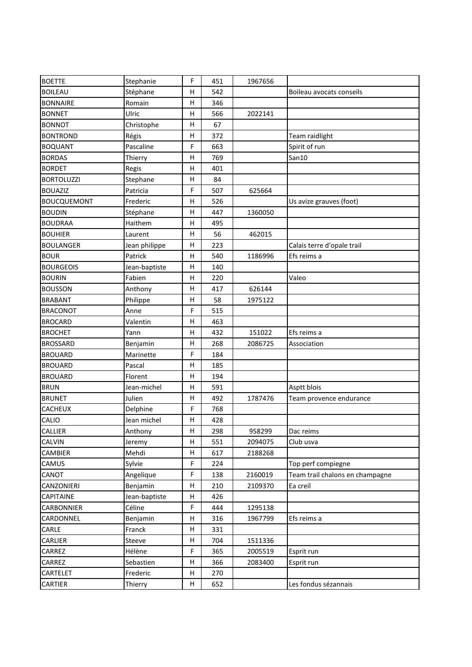| <b>BOETTE</b>      | Stephanie     | F | 451 | 1967656 |                                 |
|--------------------|---------------|---|-----|---------|---------------------------------|
| <b>BOILEAU</b>     | Stéphane      | н | 542 |         | Boileau avocats conseils        |
| <b>BONNAIRE</b>    | Romain        | Н | 346 |         |                                 |
| <b>BONNET</b>      | Ulric         | Η | 566 | 2022141 |                                 |
| <b>BONNOT</b>      | Christophe    | н | 67  |         |                                 |
| <b>BONTROND</b>    | Régis         | Η | 372 |         | Team raidlight                  |
| <b>BOQUANT</b>     | Pascaline     | F | 663 |         | Spirit of run                   |
| <b>BORDAS</b>      | Thierry       | Н | 769 |         | San10                           |
| <b>BORDET</b>      | Regis         | Н | 401 |         |                                 |
| <b>BORTOLUZZI</b>  | Stephane      | Н | 84  |         |                                 |
| <b>BOUAZIZ</b>     | Patricia      | F | 507 | 625664  |                                 |
| <b>BOUCQUEMONT</b> | Frederic      | Н | 526 |         | Us avize grauves (foot)         |
| <b>BOUDIN</b>      | Stéphane      | H | 447 | 1360050 |                                 |
| <b>BOUDRAA</b>     | Haithem       | н | 495 |         |                                 |
| <b>BOUHIER</b>     | Laurent       | н | 56  | 462015  |                                 |
| <b>BOULANGER</b>   | Jean philippe | H | 223 |         | Calais terre d'opale trail      |
| <b>BOUR</b>        | Patrick       | Н | 540 | 1186996 | Efs reims a                     |
| <b>BOURGEOIS</b>   | Jean-baptiste | н | 140 |         |                                 |
| <b>BOURIN</b>      | Fabien        | н | 220 |         | Valeo                           |
| <b>BOUSSON</b>     | Anthony       | н | 417 | 626144  |                                 |
| <b>BRABANT</b>     | Philippe      | Н | 58  | 1975122 |                                 |
| <b>BRACONOT</b>    | Anne          | F | 515 |         |                                 |
| <b>BROCARD</b>     | Valentin      | Н | 463 |         |                                 |
| <b>BROCHET</b>     | Yann          | Η | 432 | 151022  | Efs reims a                     |
| <b>BROSSARD</b>    | Benjamin      | н | 268 | 2086725 | Association                     |
| <b>BROUARD</b>     | Marinette     | F | 184 |         |                                 |
| <b>BROUARD</b>     | Pascal        | Н | 185 |         |                                 |
| <b>BROUARD</b>     | Florent       | н | 194 |         |                                 |
| <b>BRUN</b>        | Jean-michel   | н | 591 |         | Asptt blois                     |
| <b>BRUNET</b>      | Julien        | Н | 492 | 1787476 | Team provence endurance         |
| <b>CACHEUX</b>     | Delphine      | F | 768 |         |                                 |
| CALIO              | Jean michel   | Н | 428 |         |                                 |
| CALLIER            | Anthony       | Н | 298 | 958299  | Dac reims                       |
| <b>CALVIN</b>      | Jeremy        | н | 551 | 2094075 | Club usva                       |
| CAMBIER            | Mehdi         | н | 617 | 2188268 |                                 |
| CAMUS              | Sylvie        | F | 224 |         | Top perf compiegne              |
| CANOT              | Angelique     | F | 138 | 2160019 | Team trail chalons en champagne |
| CANZONIERI         | Benjamin      | н | 210 | 2109370 | Ea creil                        |
| CAPITAINE          | Jean-baptiste | н | 426 |         |                                 |
| CARBONNIER         | Céline        | F | 444 | 1295138 |                                 |
| CARDONNEL          | Benjamin      | Н | 316 | 1967799 | Efs reims a                     |
| CARLE              | Franck        | н | 331 |         |                                 |
| CARLIER            | Steeve        | Н | 704 | 1511336 |                                 |
| CARREZ             | Hélène        | F | 365 | 2005519 | Esprit run                      |
| CARREZ             | Sebastien     | н | 366 | 2083400 | Esprit run                      |
| CARTELET           | Frederic      | Н | 270 |         |                                 |
| CARTIER            | Thierry       | H | 652 |         | Les fondus sézannais            |
|                    |               |   |     |         |                                 |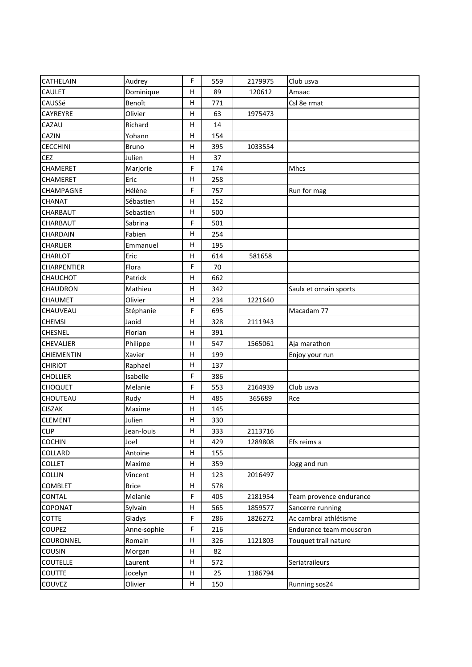| CATHELAIN          | Audrey       | F | 559 | 2179975 | Club usva               |
|--------------------|--------------|---|-----|---------|-------------------------|
| <b>CAULET</b>      | Dominique    | Н | 89  | 120612  | Amaac                   |
| CAUSSé             | Benoît       | Η | 771 |         | Csl 8e rmat             |
| CAYREYRE           | Olivier      | н | 63  | 1975473 |                         |
| CAZAU              | Richard      | н | 14  |         |                         |
| <b>CAZIN</b>       | Yohann       | Η | 154 |         |                         |
| <b>CECCHINI</b>    | <b>Bruno</b> | Н | 395 | 1033554 |                         |
| <b>CEZ</b>         | Julien       | Н | 37  |         |                         |
| CHAMERET           | Marjorie     | F | 174 |         | Mhcs                    |
| CHAMERET           | Eric         | Н | 258 |         |                         |
| CHAMPAGNE          | Hélène       | F | 757 |         | Run for mag             |
| <b>CHANAT</b>      | Sébastien    | H | 152 |         |                         |
| <b>CHARBAUT</b>    | Sebastien    | Η | 500 |         |                         |
| CHARBAUT           | Sabrina      | F | 501 |         |                         |
| <b>CHARDAIN</b>    | Fabien       | н | 254 |         |                         |
| <b>CHARLIER</b>    | Emmanuel     | н | 195 |         |                         |
| CHARLOT            | Eric         | н | 614 | 581658  |                         |
| <b>CHARPENTIER</b> | Flora        | F | 70  |         |                         |
| <b>CHAUCHOT</b>    | Patrick      | Н | 662 |         |                         |
| <b>CHAUDRON</b>    | Mathieu      | н | 342 |         | Saulx et ornain sports  |
| <b>CHAUMET</b>     | Olivier      | н | 234 | 1221640 |                         |
| CHAUVEAU           | Stéphanie    | F | 695 |         | Macadam 77              |
| <b>CHEMSI</b>      | Jaoid        | н | 328 | 2111943 |                         |
| <b>CHESNEL</b>     | Florian      | Η | 391 |         |                         |
| <b>CHEVALIER</b>   | Philippe     | н | 547 | 1565061 | Aja marathon            |
| <b>CHIEMENTIN</b>  | Xavier       | Η | 199 |         | Enjoy your run          |
| <b>CHIRIOT</b>     | Raphael      | Н | 137 |         |                         |
| <b>CHOLLIER</b>    | Isabelle     | F | 386 |         |                         |
| <b>CHOQUET</b>     | Melanie      | F | 553 | 2164939 | Club usva               |
| CHOUTEAU           | Rudy         | Н | 485 | 365689  | Rce                     |
| <b>CISZAK</b>      | Maxime       | н | 145 |         |                         |
| <b>CLEMENT</b>     | Julien       | H | 330 |         |                         |
| <b>CLIP</b>        | Jean-louis   | Н | 333 | 2113716 |                         |
| <b>COCHIN</b>      | Joel         | н | 429 | 1289808 | Efs reims a             |
| <b>COLLARD</b>     | Antoine      | н | 155 |         |                         |
| <b>COLLET</b>      | Maxime       | Н | 359 |         | Jogg and run            |
| <b>COLLIN</b>      | Vincent      | H | 123 | 2016497 |                         |
| <b>COMBLET</b>     | <b>Brice</b> | н | 578 |         |                         |
| <b>CONTAL</b>      | Melanie      | F | 405 | 2181954 | Team provence endurance |
| COPONAT            | Sylvain      | H | 565 | 1859577 | Sancerre running        |
| <b>COTTE</b>       | Gladys       | F | 286 | 1826272 | Ac cambrai athlétisme   |
| <b>COUPEZ</b>      | Anne-sophie  | F | 216 |         | Endurance team mouscron |
| <b>COURONNEL</b>   | Romain       | Н | 326 | 1121803 | Touquet trail nature    |
| COUSIN             | Morgan       | н | 82  |         |                         |
| <b>COUTELLE</b>    | Laurent      | н | 572 |         | Seriatraileurs          |
| <b>COUTTE</b>      | Jocelyn      | Н | 25  | 1186794 |                         |
| COUVEZ             | Olivier      | H | 150 |         | Running sos24           |
|                    |              |   |     |         |                         |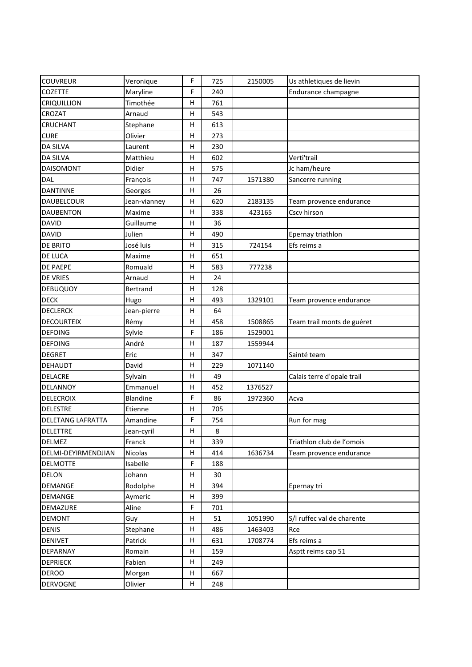| <b>COUVREUR</b>     | Veronique    | F           | 725 | 2150005 | Us athletiques de lievin   |
|---------------------|--------------|-------------|-----|---------|----------------------------|
| <b>COZETTE</b>      | Maryline     | F           | 240 |         | Endurance champagne        |
| <b>CRIQUILLION</b>  | Timothée     | Н           | 761 |         |                            |
| CROZAT              | Arnaud       | н           | 543 |         |                            |
| CRUCHANT            | Stephane     | н           | 613 |         |                            |
| <b>CURE</b>         | Olivier      | Η           | 273 |         |                            |
| <b>DA SILVA</b>     | Laurent      | Η           | 230 |         |                            |
| <b>DA SILVA</b>     | Matthieu     | Н           | 602 |         | Verti'trail                |
| <b>DAISOMONT</b>    | Didier       | Н           | 575 |         | Jc ham/heure               |
| DAL                 | François     | Н           | 747 | 1571380 | Sancerre running           |
| <b>DANTINNE</b>     | Georges      | н           | 26  |         |                            |
| DAUBELCOUR          | Jean-vianney | Н           | 620 | 2183135 | Team provence endurance    |
| <b>DAUBENTON</b>    | Maxime       | Н           | 338 | 423165  | Cscv hirson                |
| <b>DAVID</b>        | Guillaume    | Н           | 36  |         |                            |
| <b>DAVID</b>        | Julien       | н           | 490 |         | Epernay triathlon          |
| DE BRITO            | José luis    | Η           | 315 | 724154  | Efs reims a                |
| DE LUCA             | Maxime       | Н           | 651 |         |                            |
| DE PAEPE            | Romuald      | н           | 583 | 777238  |                            |
| <b>DE VRIES</b>     | Arnaud       | н           | 24  |         |                            |
| <b>DEBUQUOY</b>     | Bertrand     | н           | 128 |         |                            |
| <b>DECK</b>         | Hugo         | Η           | 493 | 1329101 | Team provence endurance    |
| <b>DECLERCK</b>     | Jean-pierre  | Н           | 64  |         |                            |
| <b>DECOURTEIX</b>   | Rémy         | Н           | 458 | 1508865 | Team trail monts de guéret |
| <b>DEFOING</b>      | Sylvie       | F           | 186 | 1529001 |                            |
| <b>DEFOING</b>      | André        | н           | 187 | 1559944 |                            |
| <b>DEGRET</b>       | Eric         | Η           | 347 |         | Sainté team                |
| DEHAUDT             | David        | Н           | 229 | 1071140 |                            |
| <b>DELACRE</b>      | Sylvain      | н           | 49  |         | Calais terre d'opale trail |
| DELANNOY            | Emmanuel     | н           | 452 | 1376527 |                            |
| <b>DELECROIX</b>    | Blandine     | F           | 86  | 1972360 | Acva                       |
| <b>DELESTRE</b>     | Etienne      | н           | 705 |         |                            |
| DELETANG LAFRATTA   | Amandine     | F           | 754 |         | Run for mag                |
| DELETTRE            | Jean-cyril   | $\mathsf H$ | 8   |         |                            |
| <b>DELMEZ</b>       | Franck       | н           | 339 |         | Triathlon club de l'omois  |
| DELMI-DEYIRMENDJIAN | Nicolas      | н           | 414 | 1636734 | Team provence endurance    |
| <b>DELMOTTE</b>     | Isabelle     | F           | 188 |         |                            |
| DELON               | Johann       | н           | 30  |         |                            |
| <b>DEMANGE</b>      | Rodolphe     | н           | 394 |         | Epernay tri                |
| <b>DEMANGE</b>      | Aymeric      | н           | 399 |         |                            |
| DEMAZURE            | Aline        | F           | 701 |         |                            |
| <b>DEMONT</b>       | Guy          | н           | 51  | 1051990 | S/I ruffec val de charente |
| <b>DENIS</b>        | Stephane     | н           | 486 | 1463403 | Rce                        |
| <b>DENIVET</b>      | Patrick      | Н           | 631 | 1708774 | Efs reims a                |
| DEPARNAY            | Romain       | н           | 159 |         | Asptt reims cap 51         |
| <b>DEPRIECK</b>     | Fabien       | н           | 249 |         |                            |
| <b>DEROO</b>        | Morgan       | Н           | 667 |         |                            |
|                     |              | H           |     |         |                            |
| <b>DERVOGNE</b>     | Olivier      |             | 248 |         |                            |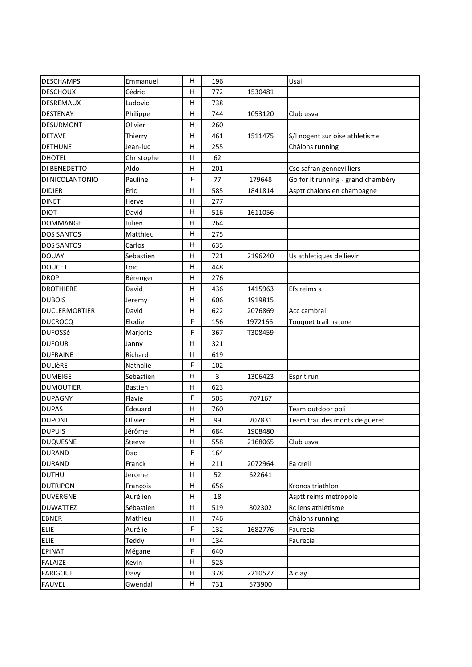| <b>DESCHAMPS</b>     | Emmanuel   | H       | 196 |         | Usal                               |
|----------------------|------------|---------|-----|---------|------------------------------------|
| <b>DESCHOUX</b>      | Cédric     | н       | 772 | 1530481 |                                    |
| DESREMAUX            | Ludovic    | н       | 738 |         |                                    |
| DESTENAY             | Philippe   | н       | 744 | 1053120 | Club usva                          |
| <b>DESURMONT</b>     | Olivier    | H       | 260 |         |                                    |
| <b>DETAVE</b>        | Thierry    | H       | 461 | 1511475 | S/I nogent sur oise athletisme     |
| <b>DETHUNE</b>       | Jean-luc   | Н       | 255 |         | Châlons running                    |
| <b>DHOTEL</b>        | Christophe | н       | 62  |         |                                    |
| DI BENEDETTO         | Aldo       | н       | 201 |         | Cse safran gennevilliers           |
| DI NICOLANTONIO      | Pauline    | F       | 77  | 179648  | Go for it running - grand chambéry |
| <b>DIDIER</b>        | Eric       | н       | 585 | 1841814 | Asptt chalons en champagne         |
| <b>DINET</b>         | Herve      | н       | 277 |         |                                    |
| <b>DIOT</b>          | David      | н       | 516 | 1611056 |                                    |
| <b>DOMMANGE</b>      | Julien     | н       | 264 |         |                                    |
| <b>DOS SANTOS</b>    | Matthieu   | H       | 275 |         |                                    |
| <b>DOS SANTOS</b>    | Carlos     | Н       | 635 |         |                                    |
| <b>DOUAY</b>         | Sebastien  | н       | 721 | 2196240 | Us athletiques de lievin           |
| <b>DOUCET</b>        | Loïc       | н       | 448 |         |                                    |
| <b>DROP</b>          | Bérenger   | н       | 276 |         |                                    |
| <b>DROTHIERE</b>     | David      | н       | 436 | 1415963 | Efs reims a                        |
| <b>DUBOIS</b>        | Jeremy     | н       | 606 | 1919815 |                                    |
| <b>DUCLERMORTIER</b> | David      | н       | 622 | 2076869 | Acc cambrai                        |
| <b>DUCROCQ</b>       | Elodie     | F       | 156 | 1972166 | Touquet trail nature               |
| <b>DUFOSSé</b>       | Marjorie   | F       | 367 | T308459 |                                    |
| <b>DUFOUR</b>        | Janny      | H       | 321 |         |                                    |
| <b>DUFRAINE</b>      | Richard    | H       | 619 |         |                                    |
| <b>DULIÈRE</b>       | Nathalie   | F       | 102 |         |                                    |
| <b>DUMEIGE</b>       | Sebastien  | н       | 3   | 1306423 | Esprit run                         |
| <b>DUMOUTIER</b>     | Bastien    | н       | 623 |         |                                    |
| <b>DUPAGNY</b>       | Flavie     | F       | 503 | 707167  |                                    |
| <b>DUPAS</b>         | Edouard    | н       | 760 |         | Team outdoor poli                  |
| <b>DUPONT</b>        | Olivier    | н       | 99  | 207831  | Team trail des monts de gueret     |
| <b>DUPUIS</b>        | Jérôme     | $\sf H$ | 684 | 1908480 |                                    |
| <b>DUQUESNE</b>      | Steeve     | H       | 558 | 2168065 | Club usva                          |
| <b>DURAND</b>        | Dac        | F       | 164 |         |                                    |
| <b>DURAND</b>        | Franck     | H       | 211 | 2072964 | Ea creil                           |
| <b>DUTHU</b>         | Jerome     | H       | 52  | 622641  |                                    |
| <b>DUTRIPON</b>      | François   | H       | 656 |         | Kronos triathlon                   |
| <b>DUVERGNE</b>      | Aurélien   | H       | 18  |         | Asptt reims metropole              |
| <b>DUWATTEZ</b>      | Sébastien  | н       | 519 | 802302  | Rc lens athlétisme                 |
| <b>EBNER</b>         | Mathieu    | н       | 746 |         | Châlons running                    |
| <b>ELIE</b>          | Aurélie    | F       | 132 | 1682776 | Faurecia                           |
| <b>ELIE</b>          | Teddy      | н       | 134 |         | Faurecia                           |
| <b>EPINAT</b>        | Mégane     | F       | 640 |         |                                    |
| <b>FALAIZE</b>       | Kevin      | н       | 528 |         |                                    |
| <b>FARIGOUL</b>      | Davy       | н       | 378 | 2210527 | A.c ay                             |
| <b>FAUVEL</b>        | Gwendal    | H       | 731 | 573900  |                                    |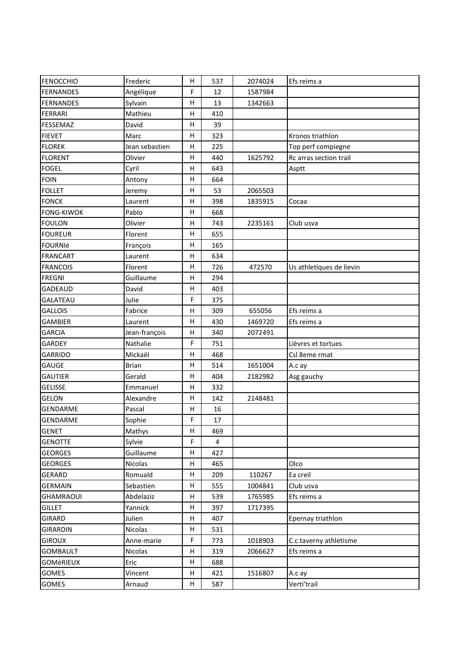| <b>FENOCCHIO</b>  | Frederic       | H            | 537 | 2074024 | Efs reims a              |
|-------------------|----------------|--------------|-----|---------|--------------------------|
| <b>FERNANDES</b>  | Angélique      | $\mathsf F$  | 12  | 1587984 |                          |
| <b>FERNANDES</b>  | Sylvain        | н            | 13  | 1342663 |                          |
| <b>FERRARI</b>    | Mathieu        | н            | 410 |         |                          |
| <b>FESSEMAZ</b>   | David          | H            | 39  |         |                          |
| <b>FIEVET</b>     | Marc           | Η            | 323 |         | Kronos triathlon         |
| <b>FLOREK</b>     | Jean sebastien | н            | 225 |         | Top perf compiegne       |
| <b>FLORENT</b>    | Olivier        | н            | 440 | 1625792 | Rc arras section trail   |
| <b>FOGEL</b>      | Cyril          | Η            | 643 |         | Asptt                    |
| <b>FOIN</b>       | Antony         | Н            | 664 |         |                          |
| <b>FOLLET</b>     | Jeremy         | Н            | 53  | 2065503 |                          |
| <b>FONCK</b>      | Laurent        | Η            | 398 | 1835915 | Cocaa                    |
| <b>FONG-KIWOK</b> | Pablo          | н            | 668 |         |                          |
| <b>FOULON</b>     | Olivier        | н            | 743 | 2235161 | Club usva                |
| <b>FOUREUR</b>    | Florent        | H            | 655 |         |                          |
| <b>FOURNIÉ</b>    | François       | Η            | 165 |         |                          |
| <b>FRANCART</b>   | Laurent        | н            | 634 |         |                          |
| <b>FRANCOIS</b>   | Florent        | н            | 726 | 472570  | Us athletiques de lievin |
| <b>FREGNI</b>     | Guillaume      | H            | 294 |         |                          |
| GADEAUD           | David          | Η            | 403 |         |                          |
| GALATEAU          | Julie          | F            | 375 |         |                          |
| <b>GALLOIS</b>    | Fabrice        | н            | 309 | 655056  | Efs reims a              |
| <b>GAMBIER</b>    | Laurent        | н            | 430 | 1469720 | Efs reims a              |
| <b>GARCIA</b>     | Jean-françois  | Н            | 340 | 2072491 |                          |
| GARDEY            | Nathalie       | $\mathsf F$  | 751 |         | Lièvres et tortues       |
| GARRIDO           | Mickaël        | Η            | 468 |         | Csl 8eme rmat            |
| GAUGE             | <b>Brian</b>   | н            | 514 | 1651004 | A.c ay                   |
| <b>GAUTIER</b>    | Gerald         | н            | 404 | 2182982 | Asg gauchy               |
| <b>GELISSE</b>    | Emmanuel       | Η            | 332 |         |                          |
| <b>GELON</b>      | Alexandre      | Н            | 142 | 2148481 |                          |
| GENDARME          | Pascal         | н            | 16  |         |                          |
| GENDARME          | Sophie         | $\mathsf F$  | 17  |         |                          |
| <b>GENET</b>      | Mathys         | $\mathsf{H}$ | 469 |         |                          |
| <b>GENOTTE</b>    | Sylvie         | F            | 4   |         |                          |
| <b>GEORGES</b>    | Guillaume      | н            | 427 |         |                          |
| <b>GEORGES</b>    | Nicolas        | н            | 465 |         | Olco                     |
| GERARD            | Romuald        | H            | 209 | 110267  | Ea creil                 |
| <b>GERMAIN</b>    | Sebastien      | H            | 555 | 1004841 | Club usva                |
| <b>GHAMRAOUI</b>  | Abdelaziz      | н            | 539 | 1765985 | Efs reims a              |
| <b>GILLET</b>     | Yannick        | н            | 397 | 1717395 |                          |
| GIRARD            | Julien         | H            | 407 |         | Epernay triathlon        |
| <b>GIRARDIN</b>   | Nicolas        | н            | 531 |         |                          |
| <b>GIROUX</b>     | Anne-marie     | F            | 773 | 1018903 | C.c.taverny athletisme   |
| <b>GOMBAULT</b>   | Nicolas        | н            | 319 | 2066627 | Efs reims a              |
| <b>GOMéRIEUX</b>  | Eric           | н            | 688 |         |                          |
| <b>GOMES</b>      | Vincent        | Н            | 421 | 1516807 | A.c ay                   |
| GOMES             | Arnaud         | H            | 587 |         | Verti'trail              |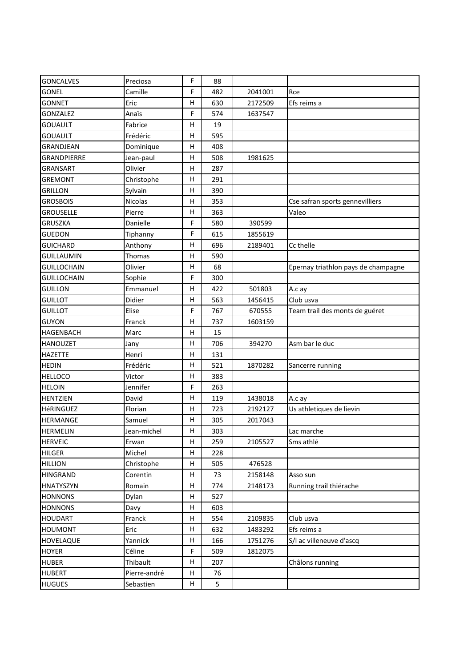| <b>GONCALVES</b>   | Preciosa     | F           | 88  |         |                                     |
|--------------------|--------------|-------------|-----|---------|-------------------------------------|
| <b>GONEL</b>       | Camille      | F           | 482 | 2041001 | Rce                                 |
| <b>GONNET</b>      | Eric         | Н           | 630 | 2172509 | Efs reims a                         |
| <b>GONZALEZ</b>    | Anaïs        | F           | 574 | 1637547 |                                     |
| <b>GOUAULT</b>     | Fabrice      | H           | 19  |         |                                     |
| <b>GOUAULT</b>     | Frédéric     | н           | 595 |         |                                     |
| GRANDJEAN          | Dominique    | н           | 408 |         |                                     |
| GRANDPIERRE        | Jean-paul    | н           | 508 | 1981625 |                                     |
| <b>GRANSART</b>    | Olivier      | н           | 287 |         |                                     |
| <b>GREMONT</b>     | Christophe   | н           | 291 |         |                                     |
| <b>GRILLON</b>     | Sylvain      | Н           | 390 |         |                                     |
| <b>GROSBOIS</b>    | Nicolas      | Н           | 353 |         | Cse safran sports gennevilliers     |
| <b>GROUSELLE</b>   | Pierre       | Н           | 363 |         | Valeo                               |
| <b>GRUSZKA</b>     | Danielle     | F           | 580 | 390599  |                                     |
| <b>GUEDON</b>      | Tiphanny     | $\mathsf F$ | 615 | 1855619 |                                     |
| <b>GUICHARD</b>    | Anthony      | Н           | 696 | 2189401 | Cc thelle                           |
| <b>GUILLAUMIN</b>  | Thomas       | Н           | 590 |         |                                     |
| <b>GUILLOCHAIN</b> | Olivier      | н           | 68  |         | Epernay triathlon pays de champagne |
| <b>GUILLOCHAIN</b> | Sophie       | F           | 300 |         |                                     |
| <b>GUILLON</b>     | Emmanuel     | н           | 422 | 501803  | A.c ay                              |
| <b>GUILLOT</b>     | Didier       | Н           | 563 | 1456415 | Club usva                           |
| <b>GUILLOT</b>     | Elise        | F           | 767 | 670555  | Team trail des monts de guéret      |
| <b>GUYON</b>       | Franck       | Н           | 737 | 1603159 |                                     |
| <b>HAGENBACH</b>   | Marc         | н           | 15  |         |                                     |
| <b>HANOUZET</b>    | Jany         | н           | 706 | 394270  | Asm bar le duc                      |
| <b>HAZETTE</b>     | Henri        | H           | 131 |         |                                     |
| <b>HEDIN</b>       | Frédéric     | Н           | 521 | 1870282 | Sancerre running                    |
| <b>HELLOCO</b>     | Victor       | н           | 383 |         |                                     |
| <b>HELOIN</b>      | Jennifer     | F           | 263 |         |                                     |
| <b>HENTZIEN</b>    | David        | Н           | 119 | 1438018 | A.c ay                              |
| HéRINGUEZ          | Florian      | н           | 723 | 2192127 | Us athletiques de lievin            |
| <b>HERMANGE</b>    | Samuel       | Н           | 305 | 2017043 |                                     |
| <b>HERMELIN</b>    | Jean-michel  | н           | 303 |         | Lac marche                          |
| <b>HERVEIC</b>     | Erwan        | н           | 259 | 2105527 | Sms athlé                           |
| <b>HILGER</b>      | Michel       | н           | 228 |         |                                     |
| <b>HILLION</b>     | Christophe   | н           | 505 | 476528  |                                     |
| <b>HINGRAND</b>    | Corentin     | H           | 73  | 2158148 | Asso sun                            |
| <b>HNATYSZYN</b>   | Romain       | н           | 774 | 2148173 | Running trail thiérache             |
| <b>HONNONS</b>     | Dylan        | н           | 527 |         |                                     |
| <b>HONNONS</b>     | Davy         | H           | 603 |         |                                     |
| <b>HOUDART</b>     | Franck       | H           | 554 | 2109835 | Club usva                           |
| <b>HOUMONT</b>     | Eric         | H           | 632 | 1483292 | Efs reims a                         |
| HOVELAQUE          | Yannick      | н           | 166 | 1751276 | S/I ac villeneuve d'ascq            |
| <b>HOYER</b>       | Céline       | F           | 509 | 1812075 |                                     |
| <b>HUBER</b>       | Thibault     | H           | 207 |         | Châlons running                     |
| <b>HUBERT</b>      | Pierre-andré | н           | 76  |         |                                     |
| <b>HUGUES</b>      | Sebastien    | H           | 5   |         |                                     |
|                    |              |             |     |         |                                     |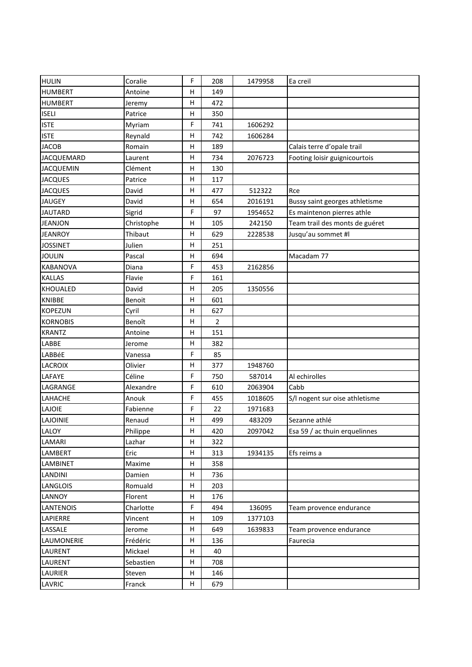| <b>HULIN</b>      | Coralie    | F | 208            | 1479958 | Ea creil                       |
|-------------------|------------|---|----------------|---------|--------------------------------|
| <b>HUMBERT</b>    | Antoine    | н | 149            |         |                                |
| <b>HUMBERT</b>    | Jeremy     | н | 472            |         |                                |
| <b>ISELI</b>      | Patrice    | н | 350            |         |                                |
| <b>ISTE</b>       | Myriam     | F | 741            | 1606292 |                                |
| <b>ISTE</b>       | Reynald    | H | 742            | 1606284 |                                |
| <b>JACOB</b>      | Romain     | н | 189            |         | Calais terre d'opale trail     |
| <b>JACQUEMARD</b> | Laurent    | н | 734            | 2076723 | Footing loisir guignicourtois  |
| <b>JACQUEMIN</b>  | Clément    | H | 130            |         |                                |
| <b>JACQUES</b>    | Patrice    | н | 117            |         |                                |
| <b>JACQUES</b>    | David      | н | 477            | 512322  | Rce                            |
| <b>JAUGEY</b>     | David      | н | 654            | 2016191 | Bussy saint georges athletisme |
| <b>JAUTARD</b>    | Sigrid     | F | 97             | 1954652 | Es maintenon pierres athle     |
| <b>JEANJON</b>    | Christophe | н | 105            | 242150  | Team trail des monts de guéret |
| <b>JEANROY</b>    | Thibaut    | н | 629            | 2228538 | Jusqu'au sommet #l             |
| <b>JOSSINET</b>   | Julien     | Н | 251            |         |                                |
| <b>JOULIN</b>     | Pascal     | н | 694            |         | Macadam 77                     |
| <b>KABANOVA</b>   | Diana      | F | 453            | 2162856 |                                |
| <b>KALLAS</b>     | Flavie     | F | 161            |         |                                |
| <b>KHOUALED</b>   | David      | н | 205            | 1350556 |                                |
| <b>KNIBBE</b>     | Benoit     | н | 601            |         |                                |
| <b>KOPEZUN</b>    | Cyril      | н | 627            |         |                                |
| <b>KORNOBIS</b>   | Benoît     | н | $\overline{2}$ |         |                                |
| <b>KRANTZ</b>     | Antoine    | н | 151            |         |                                |
| LABBE             | Jerome     | н | 382            |         |                                |
| LABBéE            | Vanessa    | F | 85             |         |                                |
| <b>LACROIX</b>    | Olivier    | н | 377            | 1948760 |                                |
| LAFAYE            | Céline     | F | 750            | 587014  | Al echirolles                  |
| LAGRANGE          | Alexandre  | F | 610            | 2063904 | Cabb                           |
| LAHACHE           | Anouk      | F | 455            | 1018605 | S/I nogent sur oise athletisme |
| LAJOIE            | Fabienne   | F | 22             | 1971683 |                                |
| <b>LAJOINIE</b>   | Renaud     | н | 499            | 483209  | Sezanne athlé                  |
| LALOY             | Philippe   | н | 420            | 2097042 | Esa 59 / ac thuin erquelinnes  |
| LAMARI            | Lazhar     | н | 322            |         |                                |
| LAMBERT           | Eric       | н | 313            | 1934135 | Efs reims a                    |
| <b>LAMBINET</b>   | Maxime     | н | 358            |         |                                |
| <b>LANDINI</b>    | Damien     | H | 736            |         |                                |
| LANGLOIS          | Romuald    | н | 203            |         |                                |
| LANNOY            | Florent    | н | 176            |         |                                |
| <b>LANTENOIS</b>  | Charlotte  | F | 494            | 136095  | Team provence endurance        |
| LAPIERRE          | Vincent    | н | 109            | 1377103 |                                |
| LASSALE           | Jerome     | H | 649            | 1639833 | Team provence endurance        |
| LAUMONERIE        | Frédéric   | н | 136            |         | Faurecia                       |
| LAURENT           | Mickael    | н | 40             |         |                                |
| LAURENT           | Sebastien  | н | 708            |         |                                |
| <b>LAURIER</b>    | Steven     | н | 146            |         |                                |
| LAVRIC            | Franck     | H | 679            |         |                                |
|                   |            |   |                |         |                                |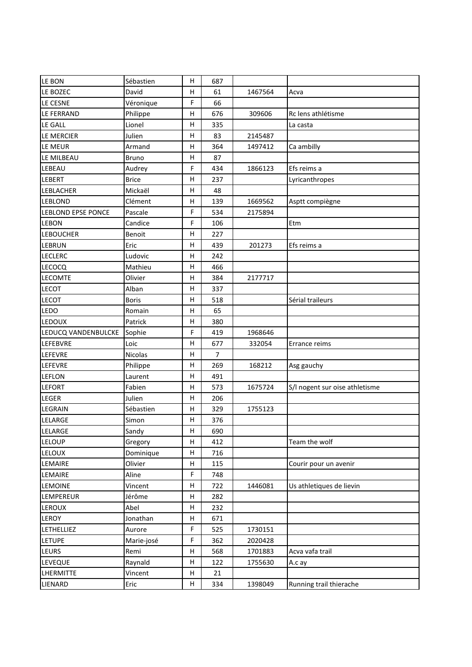| LE BON                    | Sébastien    | H           | 687            |         |                                |
|---------------------------|--------------|-------------|----------------|---------|--------------------------------|
| LE BOZEC                  | David        | н           | 61             | 1467564 | Acva                           |
| LE CESNE                  | Véronique    | $\mathsf F$ | 66             |         |                                |
| LE FERRAND                | Philippe     | н           | 676            | 309606  | Rc lens athlétisme             |
| LE GALL                   | Lionel       | H           | 335            |         | La casta                       |
| LE MERCIER                | Julien       | Η           | 83             | 2145487 |                                |
| LE MEUR                   | Armand       | н           | 364            | 1497412 | Ca ambilly                     |
| LE MILBEAU                | <b>Bruno</b> | H           | 87             |         |                                |
| LEBEAU                    | Audrey       | F           | 434            | 1866123 | Efs reims a                    |
| LEBERT                    | <b>Brice</b> | н           | 237            |         | Lyricanthropes                 |
| LEBLACHER                 | Mickaël      | H           | 48             |         |                                |
| <b>LEBLOND</b>            | Clément      | н           | 139            | 1669562 | Asptt compiègne                |
| <b>LEBLOND EPSE PONCE</b> | Pascale      | F           | 534            | 2175894 |                                |
| LEBON                     | Candice      | F           | 106            |         | Etm                            |
| <b>LEBOUCHER</b>          | Benoit       | н           | 227            |         |                                |
| LEBRUN                    | Eric         | н           | 439            | 201273  | Efs reims a                    |
| <b>LECLERC</b>            | Ludovic      | н           | 242            |         |                                |
| LECOCQ                    | Mathieu      | H           | 466            |         |                                |
| <b>LECOMTE</b>            | Olivier      | Η           | 384            | 2177717 |                                |
| <b>LECOT</b>              | Alban        | н           | 337            |         |                                |
| <b>LECOT</b>              | <b>Boris</b> | H           | 518            |         | Sérial traileurs               |
| LEDO                      | Romain       | н           | 65             |         |                                |
| <b>LEDOUX</b>             | Patrick      | н           | 380            |         |                                |
| LEDUCQ VANDENBULCKE       | Sophie       | F           | 419            | 1968646 |                                |
| LEFEBVRE                  | Loic         | H           | 677            | 332054  | Errance reims                  |
| LEFEVRE                   | Nicolas      | Η           | $\overline{7}$ |         |                                |
| LEFEVRE                   | Philippe     | н           | 269            | 168212  | Asg gauchy                     |
| LEFLON                    | Laurent      | H           | 491            |         |                                |
| <b>LEFORT</b>             | Fabien       | н           | 573            | 1675724 | S/I nogent sur oise athletisme |
| LEGER                     | Julien       | н           | 206            |         |                                |
| LEGRAIN                   | Sébastien    | н           | 329            | 1755123 |                                |
| LELARGE                   | Simon        | н           | 376            |         |                                |
| LELARGE                   | Sandy        | Н           | 690            |         |                                |
| LELOUP                    | Gregory      | н           | 412            |         | Team the wolf                  |
| LELOUX                    | Dominique    | н           | 716            |         |                                |
| LEMAIRE                   | Olivier      | н           | 115            |         | Courir pour un avenir          |
| LEMAIRE                   | Aline        | F           | 748            |         |                                |
| <b>LEMOINE</b>            | Vincent      | н           | 722            | 1446081 | Us athletiques de lievin       |
| LEMPEREUR                 | Jérôme       | Н           | 282            |         |                                |
| <b>LEROUX</b>             | Abel         | H           | 232            |         |                                |
| LEROY                     | Jonathan     | н           | 671            |         |                                |
| LETHELLIEZ                | Aurore       | F           | 525            | 1730151 |                                |
| <b>LETUPE</b>             | Marie-josé   | F           | 362            | 2020428 |                                |
| LEURS                     | Remi         | н           | 568            | 1701883 | Acva vafa trail                |
| LEVEQUE                   | Raynald      | н           | 122            | 1755630 | A.c ay                         |
| LHERMITTE                 | Vincent      | н           | 21             |         |                                |
| LIENARD                   | Eric         | H           | 334            | 1398049 | Running trail thierache        |
|                           |              |             |                |         |                                |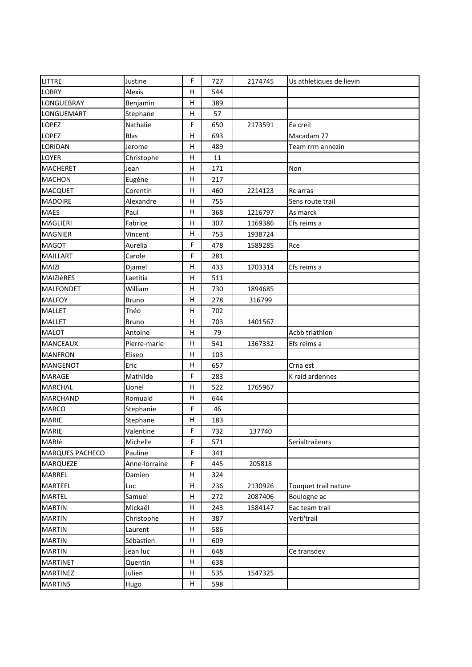| LITTRE                 | Justine       | F       | 727 | 2174745 | Us athletiques de lievin |
|------------------------|---------------|---------|-----|---------|--------------------------|
| <b>LOBRY</b>           | Alexis        | н       | 544 |         |                          |
| LONGUEBRAY             | Benjamin      | н       | 389 |         |                          |
| LONGUEMART             | Stephane      | н       | 57  |         |                          |
| <b>LOPEZ</b>           | Nathalie      | F       | 650 | 2173591 | Ea creil                 |
| LOPEZ                  | Blas          | H       | 693 |         | Macadam 77               |
| LORIDAN                | Jerome        | н       | 489 |         | Team rrm annezin         |
| LOYER                  | Christophe    | H       | 11  |         |                          |
| <b>MACHERET</b>        | Jean          | н       | 171 |         | Non                      |
| <b>MACHON</b>          | Eugène        | н       | 217 |         |                          |
| <b>MACQUET</b>         | Corentin      | н       | 460 | 2214123 | Rc arras                 |
| <b>MADOIRE</b>         | Alexandre     | н       | 755 |         | Sens route trail         |
| <b>MAES</b>            | Paul          | н       | 368 | 1216797 | As marck                 |
| MAGLIERI               | Fabrice       | $\sf H$ | 307 | 1169386 | Efs reims a              |
| <b>MAGNIER</b>         | Vincent       | н       | 753 | 1938724 |                          |
| <b>MAGOT</b>           | Aurelia       | F       | 478 | 1589285 | Rce                      |
| <b>MAILLART</b>        | Carole        | F       | 281 |         |                          |
| <b>MAIZI</b>           | Djamel        | H       | 433 | 1703314 | Efs reims a              |
| MAIZIÈRES              | Laetitia      | н       | 511 |         |                          |
| <b>MALFONDET</b>       | William       | н       | 730 | 1894685 |                          |
| <b>MALFOY</b>          | <b>Bruno</b>  | н       | 278 | 316799  |                          |
| <b>MALLET</b>          | Théo          | н       | 702 |         |                          |
| <b>MALLET</b>          | <b>Bruno</b>  | н       | 703 | 1401567 |                          |
| <b>MALOT</b>           | Antoine       | $\sf H$ | 79  |         | Acbb triathlon           |
| <b>MANCEAUX</b>        | Pierre-marie  | н       | 541 | 1367332 | Efs reims a              |
| <b>MANFRON</b>         | Eliseo        | H       | 103 |         |                          |
| MANGENOT               | Eric          | н       | 657 |         | Crna est                 |
| <b>MARAGE</b>          | Mathilde      | F       | 283 |         | K raid ardennes          |
| <b>MARCHAL</b>         | Lionel        | H       | 522 | 1765967 |                          |
| <b>MARCHAND</b>        | Romuald       | н       | 644 |         |                          |
| <b>MARCO</b>           | Stephanie     | F       | 46  |         |                          |
| <b>MARIE</b>           | Stephane      | н       | 183 |         |                          |
| <b>MARIE</b>           | Valentine     | F       | 732 | 137740  |                          |
| MARIé                  | Michelle      | F       | 571 |         | Serialtraileurs          |
| <b>MARQUES PACHECO</b> | Pauline       | F       | 341 |         |                          |
| <b>MARQUEZE</b>        | Anne-lorraine | F       | 445 | 205818  |                          |
| <b>MARREL</b>          | Damien        | H       | 324 |         |                          |
| MARTEEL                | Luc           | н       | 236 | 2130926 | Touquet trail nature     |
| <b>MARTEL</b>          | Samuel        | н       | 272 | 2087406 | Boulogne ac              |
| <b>MARTIN</b>          | Mickaël       | H       | 243 | 1584147 | Eac team trail           |
| <b>MARTIN</b>          | Christophe    | н       | 387 |         | Verti'trail              |
| <b>MARTIN</b>          | Laurent       | н       | 586 |         |                          |
| <b>MARTIN</b>          | Sébastien     | н       | 609 |         |                          |
| <b>MARTIN</b>          | Jean luc      | н       | 648 |         | Ce transdev              |
| <b>MARTINET</b>        | Quentin       | н       | 638 |         |                          |
| <b>MARTINEZ</b>        | Julien        | н       | 535 | 1547325 |                          |
| <b>MARTINS</b>         | Hugo          | н       | 598 |         |                          |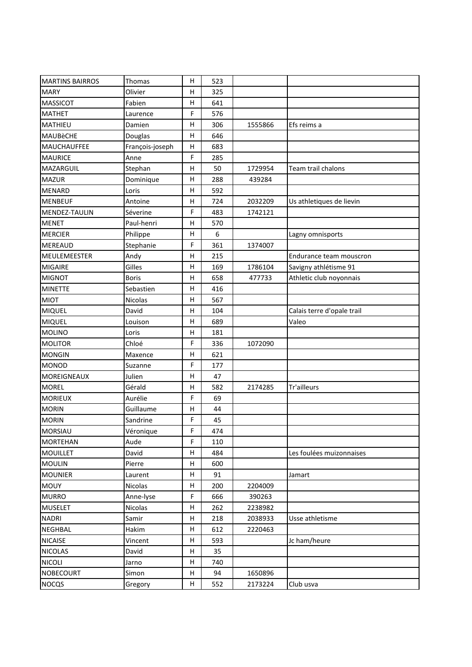| <b>MARTINS BAIRROS</b> | Thomas          | Η            | 523 |         |                            |
|------------------------|-----------------|--------------|-----|---------|----------------------------|
| <b>MARY</b>            | Olivier         | Η            | 325 |         |                            |
| <b>MASSICOT</b>        | Fabien          | Н            | 641 |         |                            |
| <b>MATHET</b>          | Laurence        | F            | 576 |         |                            |
| MATHIEU                | Damien          | н            | 306 | 1555866 | Efs reims a                |
| <b>MAUBèCHE</b>        | Douglas         | Η            | 646 |         |                            |
| MAUCHAUFFEE            | François-joseph | Η            | 683 |         |                            |
| <b>MAURICE</b>         | Anne            | F            | 285 |         |                            |
| MAZARGUIL              | Stephan         | Н            | 50  | 1729954 | Team trail chalons         |
| <b>MAZUR</b>           | Dominique       | Н            | 288 | 439284  |                            |
| <b>MENARD</b>          | Loris           | $\mathsf{H}$ | 592 |         |                            |
| <b>MENBEUF</b>         | Antoine         | н            | 724 | 2032209 | Us athletiques de lievin   |
| MENDEZ-TAULIN          | Séverine        | F            | 483 | 1742121 |                            |
| <b>MENET</b>           | Paul-henri      | н            | 570 |         |                            |
| <b>MERCIER</b>         | Philippe        | н            | 6   |         | Lagny omnisports           |
| <b>MEREAUD</b>         | Stephanie       | F            | 361 | 1374007 |                            |
| <b>MEULEMEESTER</b>    | Andy            | Н            | 215 |         | Endurance team mouscron    |
| <b>MIGAIRE</b>         | Gilles          | н            | 169 | 1786104 | Savigny athlétisme 91      |
| <b>MIGNOT</b>          | <b>Boris</b>    | н            | 658 | 477733  | Athletic club noyonnais    |
| <b>MINETTE</b>         | Sebastien       | н            | 416 |         |                            |
| <b>MIOT</b>            | Nicolas         | Η            | 567 |         |                            |
| <b>MIQUEL</b>          | David           | Н            | 104 |         | Calais terre d'opale trail |
| <b>MIQUEL</b>          | Louison         | Н            | 689 |         | Valeo                      |
| <b>MOLINO</b>          | Loris           | н            | 181 |         |                            |
| <b>MOLITOR</b>         | Chloé           | F            | 336 | 1072090 |                            |
| <b>MONGIN</b>          | Maxence         | Η            | 621 |         |                            |
| <b>MONOD</b>           | Suzanne         | F            | 177 |         |                            |
| <b>MOREIGNEAUX</b>     | Julien          | н            | 47  |         |                            |
| <b>MOREL</b>           | Gérald          | н            | 582 | 2174285 | Tr'ailleurs                |
| <b>MORIEUX</b>         | Aurélie         | F            | 69  |         |                            |
| <b>MORIN</b>           | Guillaume       | н            | 44  |         |                            |
| <b>MORIN</b>           | Sandrine        | F            | 45  |         |                            |
| <b>MORSIAU</b>         | Véronique       | F            | 474 |         |                            |
| <b>MORTEHAN</b>        | Aude            | F            | 110 |         |                            |
| <b>MOUILLET</b>        | David           | Н            | 484 |         | Les foulées muizonnaises   |
| <b>MOULIN</b>          | Pierre          | Н            | 600 |         |                            |
| <b>MOUNIER</b>         | Laurent         | н            | 91  |         | Jamart                     |
| <b>MOUY</b>            | Nicolas         | н            | 200 | 2204009 |                            |
| <b>MURRO</b>           | Anne-lyse       | F            | 666 | 390263  |                            |
| <b>MUSELET</b>         | <b>Nicolas</b>  | н            | 262 | 2238982 |                            |
| <b>NADRI</b>           | Samir           | Н            | 218 | 2038933 | Usse athletisme            |
| <b>NEGHBAL</b>         | Hakim           | н            | 612 | 2220463 |                            |
| <b>NICAISE</b>         | Vincent         | Н            | 593 |         | Jc ham/heure               |
| <b>NICOLAS</b>         | David           | н            | 35  |         |                            |
| <b>NICOLI</b>          | Jarno           | н            | 740 |         |                            |
| <b>NOBECOURT</b>       | Simon           | Н            | 94  | 1650896 |                            |
| <b>NOCQS</b>           | Gregory         | H            | 552 | 2173224 | Club usva                  |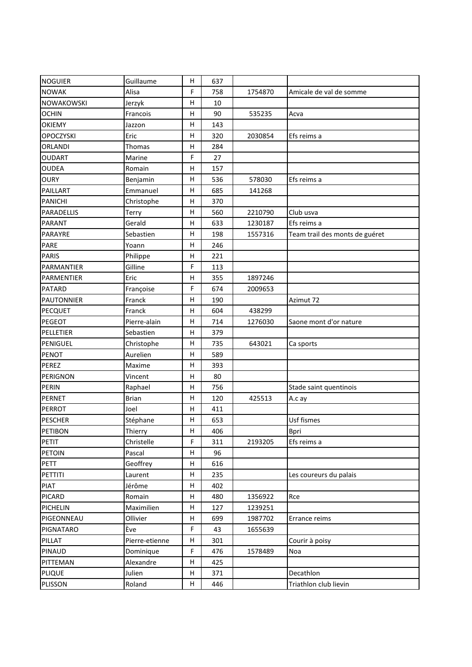| <b>NOGUIER</b>    | Guillaume      | н           | 637 |         |                                |
|-------------------|----------------|-------------|-----|---------|--------------------------------|
| <b>NOWAK</b>      | Alisa          | F           | 758 | 1754870 | Amicale de val de somme        |
| NOWAKOWSKI        | Jerzyk         | н           | 10  |         |                                |
| <b>OCHIN</b>      | Francois       | H           | 90  | 535235  | Acva                           |
| <b>OKIEMY</b>     | Jazzon         | н           | 143 |         |                                |
| <b>OPOCZYSKI</b>  | Eric           | Н           | 320 | 2030854 | Efs reims a                    |
| ORLANDI           | Thomas         | н           | 284 |         |                                |
| <b>OUDART</b>     | Marine         | $\mathsf F$ | 27  |         |                                |
| <b>OUDEA</b>      | Romain         | Н           | 157 |         |                                |
| <b>OURY</b>       | Benjamin       | н           | 536 | 578030  | Efs reims a                    |
| PAILLART          | Emmanuel       | н           | 685 | 141268  |                                |
| <b>PANICHI</b>    | Christophe     | H           | 370 |         |                                |
| PARADELLIS        | Terry          | н           | 560 | 2210790 | Club usva                      |
| PARANT            | Gerald         | Н           | 633 | 1230187 | Efs reims a                    |
| PARAYRE           | Sebastien      | н           | 198 | 1557316 | Team trail des monts de guéret |
| PARE              | Yoann          | Н           | 246 |         |                                |
| <b>PARIS</b>      | Philippe       | Η           | 221 |         |                                |
| PARMANTIER        | Gilline        | $\mathsf F$ | 113 |         |                                |
| <b>PARMENTIER</b> | Eric           | H           | 355 | 1897246 |                                |
| <b>PATARD</b>     | Françoise      | F           | 674 | 2009653 |                                |
| <b>PAUTONNIER</b> | Franck         | н           | 190 |         | Azimut 72                      |
| <b>PECQUET</b>    | Franck         | H           | 604 | 438299  |                                |
| PEGEOT            | Pierre-alain   | $\sf H$     | 714 | 1276030 | Saone mont d'or nature         |
| PELLETIER         | Sebastien      | н           | 379 |         |                                |
| PENIGUEL          | Christophe     | н           | 735 | 643021  | Ca sports                      |
| <b>PENOT</b>      | Aurelien       | Н           | 589 |         |                                |
| PEREZ             | Maxime         | Н           | 393 |         |                                |
| PERIGNON          | Vincent        | H           | 80  |         |                                |
| <b>PERIN</b>      | Raphael        | Н           | 756 |         | Stade saint quentinois         |
| PERNET            | <b>Brian</b>   | Н           | 120 | 425513  | A.c ay                         |
| <b>PERROT</b>     | Joel           | н           | 411 |         |                                |
| <b>PESCHER</b>    | Stéphane       | Н           | 653 |         | Usf fismes                     |
| PETIBON           | Thierry        | Н,          | 406 |         | <b>Bpri</b>                    |
| PETIT             | Christelle     | F           | 311 | 2193205 | Efs reims a                    |
| <b>PETOIN</b>     | Pascal         | н           | 96  |         |                                |
| <b>PETT</b>       | Geoffrey       | н           | 616 |         |                                |
| PETTITI           | Laurent        | н           | 235 |         | Les coureurs du palais         |
| <b>PIAT</b>       | Jérôme         | н           | 402 |         |                                |
| <b>PICARD</b>     | Romain         | н           | 480 | 1356922 | Rce                            |
| PICHELIN          | Maximilien     | H           | 127 | 1239251 |                                |
| PIGEONNEAU        | Ollivier       | н           | 699 | 1987702 | Errance reims                  |
| <b>PIGNATARO</b>  | Ève            | F           | 43  | 1655639 |                                |
| PILLAT            | Pierre-etienne | н           | 301 |         | Courir à poisy                 |
| PINAUD            | Dominique      | F           | 476 | 1578489 | Noa                            |
| PITTEMAN          | Alexandre      | н           | 425 |         |                                |
| <b>PLIQUE</b>     | Julien         | н           | 371 |         | Decathlon                      |
| PLISSON           | Roland         | н           | 446 |         | Triathlon club lievin          |
|                   |                |             |     |         |                                |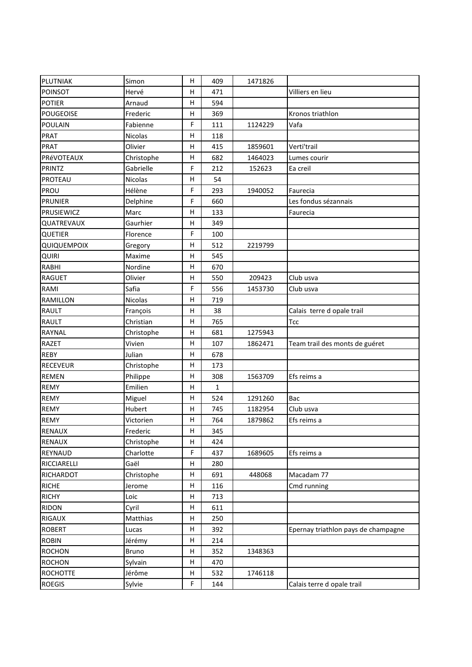| PLUTNIAK         | Simon      | Η            | 409         | 1471826 |                                     |
|------------------|------------|--------------|-------------|---------|-------------------------------------|
| <b>POINSOT</b>   | Hervé      | Н            | 471         |         | Villiers en lieu                    |
| <b>POTIER</b>    | Arnaud     | н            | 594         |         |                                     |
| <b>POUGEOISE</b> | Frederic   | н            | 369         |         | Kronos triathlon                    |
| <b>POULAIN</b>   | Fabienne   | F            | 111         | 1124229 | Vafa                                |
| <b>PRAT</b>      | Nicolas    | H            | 118         |         |                                     |
| PRAT             | Olivier    | н            | 415         | 1859601 | Verti'trail                         |
| PRéVOTEAUX       | Christophe | $\sf H$      | 682         | 1464023 | Lumes courir                        |
| PRINTZ           | Gabrielle  | F            | 212         | 152623  | Ea creil                            |
| PROTEAU          | Nicolas    | Н            | 54          |         |                                     |
| PROU             | Hélène     | F            | 293         | 1940052 | Faurecia                            |
| <b>PRUNIER</b>   | Delphine   | F            | 660         |         | Les fondus sézannais                |
| PRUSIEWICZ       | Marc       | $\mathsf{H}$ | 133         |         | Faurecia                            |
| QUATREVAUX       | Gaurhier   | Η            | 349         |         |                                     |
| QUETIER          | Florence   | F            | 100         |         |                                     |
| QUIQUEMPOIX      | Gregory    | Н            | 512         | 2219799 |                                     |
| <b>QUIRI</b>     | Maxime     | н            | 545         |         |                                     |
| <b>RABHI</b>     | Nordine    | $\sf H$      | 670         |         |                                     |
| <b>RAGUET</b>    | Olivier    | Η            | 550         | 209423  | Club usva                           |
| RAMI             | Safia      | F            | 556         | 1453730 | Club usva                           |
| <b>RAMILLON</b>  | Nicolas    | $\sf H$      | 719         |         |                                     |
| <b>RAULT</b>     | François   | н            | 38          |         | Calais terre d opale trail          |
| <b>RAULT</b>     | Christian  | н            | 765         |         | <b>Tcc</b>                          |
| <b>RAYNAL</b>    | Christophe | Н            | 681         | 1275943 |                                     |
| <b>RAZET</b>     | Vivien     | н            | 107         | 1862471 | Team trail des monts de guéret      |
| <b>REBY</b>      | Julian     | H            | 678         |         |                                     |
| <b>RECEVEUR</b>  | Christophe | н            | 173         |         |                                     |
| <b>REMEN</b>     | Philippe   | н            | 308         | 1563709 | Efs reims a                         |
| <b>REMY</b>      | Emilien    | Η            | $\mathbf 1$ |         |                                     |
| <b>REMY</b>      | Miguel     | Н            | 524         | 1291260 | Bac                                 |
| <b>REMY</b>      | Hubert     | н            | 745         | 1182954 | Club usva                           |
| <b>REMY</b>      | Victorien  | н            | 764         | 1879862 | Efs reims a                         |
| RENAUX           | Frederic   | H            | 345         |         |                                     |
| <b>RENAUX</b>    | Christophe | Н            | 424         |         |                                     |
| <b>REYNAUD</b>   | Charlotte  | F            | 437         | 1689605 | Efs reims a                         |
| RICCIARELLI      | Gaël       | н            | 280         |         |                                     |
| RICHARDOT        | Christophe | н            | 691         | 448068  | Macadam 77                          |
| <b>RICHE</b>     | Jerome     | н            | 116         |         | Cmd running                         |
| <b>RICHY</b>     | Loic       | н            | 713         |         |                                     |
| <b>RIDON</b>     | Cyril      | н            | 611         |         |                                     |
| RIGAUX           | Matthias   | н            | 250         |         |                                     |
| <b>ROBERT</b>    | Lucas      | H            | 392         |         | Epernay triathlon pays de champagne |
| <b>ROBIN</b>     | Jérémy     | Н            | 214         |         |                                     |
| <b>ROCHON</b>    | Bruno      | Н            | 352         | 1348363 |                                     |
| <b>ROCHON</b>    | Sylvain    | н            | 470         |         |                                     |
| <b>ROCHOTTE</b>  | Jérôme     | н            | 532         | 1746118 |                                     |
| <b>ROEGIS</b>    | Sylvie     | F            | 144         |         | Calais terre d opale trail          |
|                  |            |              |             |         |                                     |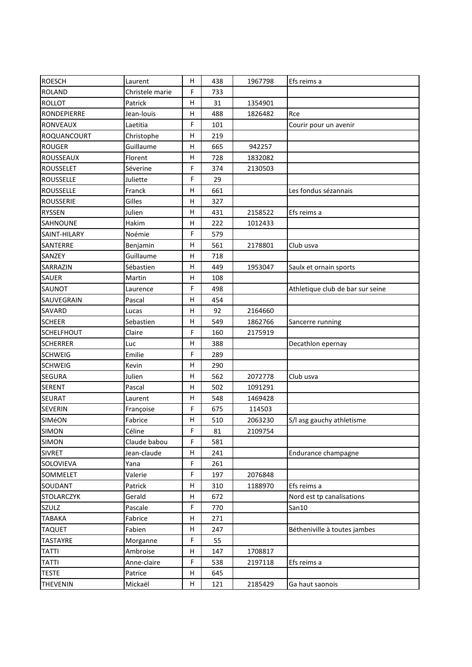| <b>ROESCH</b>     | Laurent         | н           | 438 | 1967798 | Efs reims a                      |
|-------------------|-----------------|-------------|-----|---------|----------------------------------|
| <b>ROLAND</b>     | Christele marie | $\mathsf F$ | 733 |         |                                  |
| <b>ROLLOT</b>     | Patrick         | н           | 31  | 1354901 |                                  |
| RONDEPIERRE       | Jean-louis      | н           | 488 | 1826482 | Rce                              |
| <b>RONVEAUX</b>   | Laetitia        | F           | 101 |         | Courir pour un avenir            |
| ROQUANCOURT       | Christophe      | H           | 219 |         |                                  |
| <b>ROUGER</b>     | Guillaume       | н           | 665 | 942257  |                                  |
| <b>ROUSSEAUX</b>  | Florent         | Н           | 728 | 1832082 |                                  |
| <b>ROUSSELET</b>  | Séverine        | F           | 374 | 2130503 |                                  |
| <b>ROUSSELLE</b>  | Juliette        | F           | 29  |         |                                  |
| <b>ROUSSELLE</b>  | Franck          | Η           | 661 |         | Les fondus sézannais             |
| <b>ROUSSERIE</b>  | Gilles          | Н           | 327 |         |                                  |
| <b>RYSSEN</b>     | Julien          | Н           | 431 | 2158522 | Efs reims a                      |
| SAHNOUNE          | Hakim           | Н           | 222 | 1012433 |                                  |
| SAINT-HILARY      | Noémie          | $\mathsf F$ | 579 |         |                                  |
| SANTERRE          | Benjamin        | Н           | 561 | 2178801 | Club usva                        |
| SANZEY            | Guillaume       | Н           | 718 |         |                                  |
| SARRAZIN          | Sébastien       | н           | 449 | 1953047 | Saulx et ornain sports           |
| SAUER             | Martin          | н           | 108 |         |                                  |
| SAUNOT            | Laurence        | $\mathsf F$ | 498 |         | Athletique club de bar sur seine |
| SAUVEGRAIN        | Pascal          | Н           | 454 |         |                                  |
| SAVARD            | Lucas           | н           | 92  | 2164660 |                                  |
| <b>SCHEER</b>     | Sebastien       | Н           | 549 | 1862766 | Sancerre running                 |
| <b>SCHELFHOUT</b> | Claire          | F           | 160 | 2175919 |                                  |
| <b>SCHERRER</b>   | Luc             | H           | 388 |         | Decathlon epernay                |
| <b>SCHWEIG</b>    | Emilie          | F           | 289 |         |                                  |
| <b>SCHWEIG</b>    | Kevin           | Н           | 290 |         |                                  |
| <b>SEGURA</b>     | Julien          | н           | 562 | 2072778 | Club usva                        |
| <b>SERENT</b>     | Pascal          | Н           | 502 | 1091291 |                                  |
| SEURAT            | Laurent         | н           | 548 | 1469428 |                                  |
| <b>SEVERIN</b>    | Françoise       | F           | 675 | 114503  |                                  |
| SIMéON            | Fabrice         | н           | 510 | 2063230 | S/I asg gauchy athletisme        |
| <b>SIMON</b>      | Céline          | F           | 81  | 2109754 |                                  |
| <b>SIMON</b>      | Claude babou    | F           | 581 |         |                                  |
| <b>SIVRET</b>     | Jean-claude     | н           | 241 |         | Endurance champagne              |
| SOLOVIEVA         | Yana            | F           | 261 |         |                                  |
| SOMMELET          | Valerie         | F           | 197 | 2076848 |                                  |
| SOUDANT           | Patrick         | н           | 310 | 1188970 | Efs reims a                      |
| <b>STOLARCZYK</b> | Gerald          | н           | 672 |         | Nord est tp canalisations        |
| SZULZ             | Pascale         | F           | 770 |         | San10                            |
| <b>TABAKA</b>     | Fabrice         | н           | 271 |         |                                  |
| <b>TAQUET</b>     | Fabien          | н           | 247 |         | Bétheniville à toutes jambes     |
| TASTAYRE          | Morganne        | F           | 55  |         |                                  |
| <b>TATTI</b>      | Ambroise        | H           | 147 | 1708817 |                                  |
| <b>TATTI</b>      | Anne-claire     | F           | 538 | 2197118 | Efs reims a                      |
| <b>TESTE</b>      | Patrice         | н           | 645 |         |                                  |
| <b>THEVENIN</b>   | Mickaël         | H           | 121 | 2185429 | Ga haut saonois                  |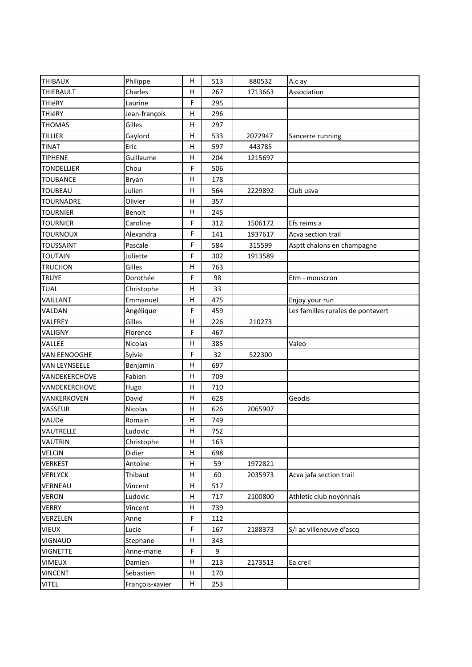| <b>THIBAUX</b>    | Philippe        | H       | 513 | 880532  | A.c ay                            |
|-------------------|-----------------|---------|-----|---------|-----------------------------------|
| THIEBAULT         | Charles         | H       | 267 | 1713663 | Association                       |
| THIéRY            | Laurine         | F       | 295 |         |                                   |
| THIéRY            | Jean-françois   | н       | 296 |         |                                   |
| <b>THOMAS</b>     | Gilles          | H       | 297 |         |                                   |
| <b>TILLIER</b>    | Gaylord         | H       | 533 | 2072947 | Sancerre running                  |
| <b>TINAT</b>      | Eric            | н       | 597 | 443785  |                                   |
| <b>TIPHENE</b>    | Guillaume       | н       | 204 | 1215697 |                                   |
| <b>TONDELLIER</b> | Chou            | F       | 506 |         |                                   |
| <b>TOUBANCE</b>   | Bryan           | Н       | 178 |         |                                   |
| <b>TOUBEAU</b>    | Julien          | н       | 564 | 2229892 | Club usva                         |
| <b>TOURNADRE</b>  | Olivier         | н       | 357 |         |                                   |
| <b>TOURNIER</b>   | Benoit          | Н       | 245 |         |                                   |
| <b>TOURNIER</b>   | Caroline        | F       | 312 | 1506172 | Efs reims a                       |
| <b>TOURNOUX</b>   | Alexandra       | F       | 141 | 1937617 | Acva section trail                |
| <b>TOUSSAINT</b>  | Pascale         | F       | 584 | 315599  | Asptt chalons en champagne        |
| <b>TOUTAIN</b>    | Juliette        | F       | 302 | 1913589 |                                   |
| <b>TRUCHON</b>    | Gilles          | н       | 763 |         |                                   |
| <b>TRUYE</b>      | Dorothée        | F       | 98  |         | Etm - mouscron                    |
| <b>TUAL</b>       | Christophe      | Н       | 33  |         |                                   |
| VAILLANT          | Emmanuel        | н       | 475 |         | Enjoy your run                    |
| VALDAN            | Angélique       | F       | 459 |         | Les familles rurales de pontavert |
| VALFREY           | Gilles          | Н       | 226 | 210273  |                                   |
| VALIGNY           | Florence        | F       | 467 |         |                                   |
| VALLEE            | Nicolas         | H       | 385 |         | Valeo                             |
| VAN EENOOGHE      | Sylvie          | F       | 32  | 522300  |                                   |
| VAN LEYNSEELE     | Benjamin        | н       | 697 |         |                                   |
| VANDEKERCHOVE     | Fabien          | н       | 709 |         |                                   |
| VANDEKERCHOVE     | Hugo            | н       | 710 |         |                                   |
| VANKERKOVEN       | David           | Н       | 628 |         | Geodis                            |
| VASSEUR           | <b>Nicolas</b>  | н       | 626 | 2065907 |                                   |
| VAUDé             | Romain          | н       | 749 |         |                                   |
| VAUTRELLE         | Ludovic         | $\sf H$ | 752 |         |                                   |
| <b>VAUTRIN</b>    | Christophe      | н       | 163 |         |                                   |
| <b>VELCIN</b>     | Didier          | н       | 698 |         |                                   |
| <b>VERKEST</b>    | Antoine         | н       | 59  | 1972821 |                                   |
| <b>VERLYCK</b>    | Thibaut         | H       | 60  | 2035973 | Acva jafa section trail           |
| VERNEAU           | Vincent         | н       | 517 |         |                                   |
| <b>VERON</b>      | Ludovic         | н       | 717 | 2100800 | Athletic club noyonnais           |
| <b>VERRY</b>      | Vincent         | н       | 739 |         |                                   |
| VERZELEN          | Anne            | F       | 112 |         |                                   |
| <b>VIEUX</b>      | Lucie           | F       | 167 | 2188373 | S/I ac villeneuve d'ascq          |
| VIGNAUD           | Stephane        | н       | 343 |         |                                   |
| <b>VIGNETTE</b>   | Anne-marie      | F       | 9   |         |                                   |
| <b>VIMEUX</b>     | Damien          | н       | 213 | 2173513 | Ea creil                          |
| <b>VINCENT</b>    | Sebastien       | н       | 170 |         |                                   |
| <b>VITEL</b>      | François-xavier | H       | 253 |         |                                   |